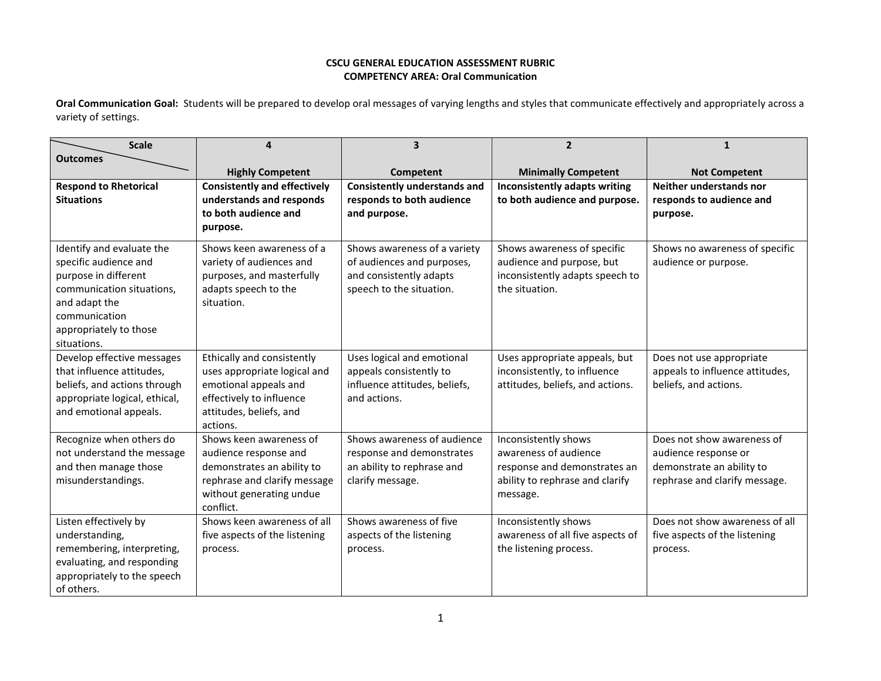## **CSCU GENERAL EDUCATION ASSESSMENT RUBRIC COMPETENCY AREA: Oral Communication**

**Oral Communication Goal:** Students will be prepared to develop oral messages of varying lengths and styles that communicate effectively and appropriately across a variety of settings.

| <b>Scale</b>                                                                                                                                                                       |                                                                                                                                                         | 3                                                                                                                 | $\overline{2}$                                                                                                               |                                                                                                                  |
|------------------------------------------------------------------------------------------------------------------------------------------------------------------------------------|---------------------------------------------------------------------------------------------------------------------------------------------------------|-------------------------------------------------------------------------------------------------------------------|------------------------------------------------------------------------------------------------------------------------------|------------------------------------------------------------------------------------------------------------------|
| <b>Outcomes</b>                                                                                                                                                                    | <b>Highly Competent</b>                                                                                                                                 | Competent                                                                                                         | <b>Minimally Competent</b>                                                                                                   | <b>Not Competent</b>                                                                                             |
| <b>Respond to Rhetorical</b><br><b>Situations</b>                                                                                                                                  | <b>Consistently and effectively</b><br>understands and responds<br>to both audience and<br>purpose.                                                     | <b>Consistently understands and</b><br>responds to both audience<br>and purpose.                                  | <b>Inconsistently adapts writing</b><br>to both audience and purpose.                                                        | Neither understands nor<br>responds to audience and<br>purpose.                                                  |
| Identify and evaluate the<br>specific audience and<br>purpose in different<br>communication situations,<br>and adapt the<br>communication<br>appropriately to those<br>situations. | Shows keen awareness of a<br>variety of audiences and<br>purposes, and masterfully<br>adapts speech to the<br>situation.                                | Shows awareness of a variety<br>of audiences and purposes,<br>and consistently adapts<br>speech to the situation. | Shows awareness of specific<br>audience and purpose, but<br>inconsistently adapts speech to<br>the situation.                | Shows no awareness of specific<br>audience or purpose.                                                           |
| Develop effective messages<br>that influence attitudes,<br>beliefs, and actions through<br>appropriate logical, ethical,<br>and emotional appeals.                                 | Ethically and consistently<br>uses appropriate logical and<br>emotional appeals and<br>effectively to influence<br>attitudes, beliefs, and<br>actions.  | Uses logical and emotional<br>appeals consistently to<br>influence attitudes, beliefs,<br>and actions.            | Uses appropriate appeals, but<br>inconsistently, to influence<br>attitudes, beliefs, and actions.                            | Does not use appropriate<br>appeals to influence attitudes,<br>beliefs, and actions.                             |
| Recognize when others do<br>not understand the message<br>and then manage those<br>misunderstandings.                                                                              | Shows keen awareness of<br>audience response and<br>demonstrates an ability to<br>rephrase and clarify message<br>without generating undue<br>conflict. | Shows awareness of audience<br>response and demonstrates<br>an ability to rephrase and<br>clarify message.        | Inconsistently shows<br>awareness of audience<br>response and demonstrates an<br>ability to rephrase and clarify<br>message. | Does not show awareness of<br>audience response or<br>demonstrate an ability to<br>rephrase and clarify message. |
| Listen effectively by<br>understanding,<br>remembering, interpreting,<br>evaluating, and responding<br>appropriately to the speech<br>of others.                                   | Shows keen awareness of all<br>five aspects of the listening<br>process.                                                                                | Shows awareness of five<br>aspects of the listening<br>process.                                                   | Inconsistently shows<br>awareness of all five aspects of<br>the listening process.                                           | Does not show awareness of all<br>five aspects of the listening<br>process.                                      |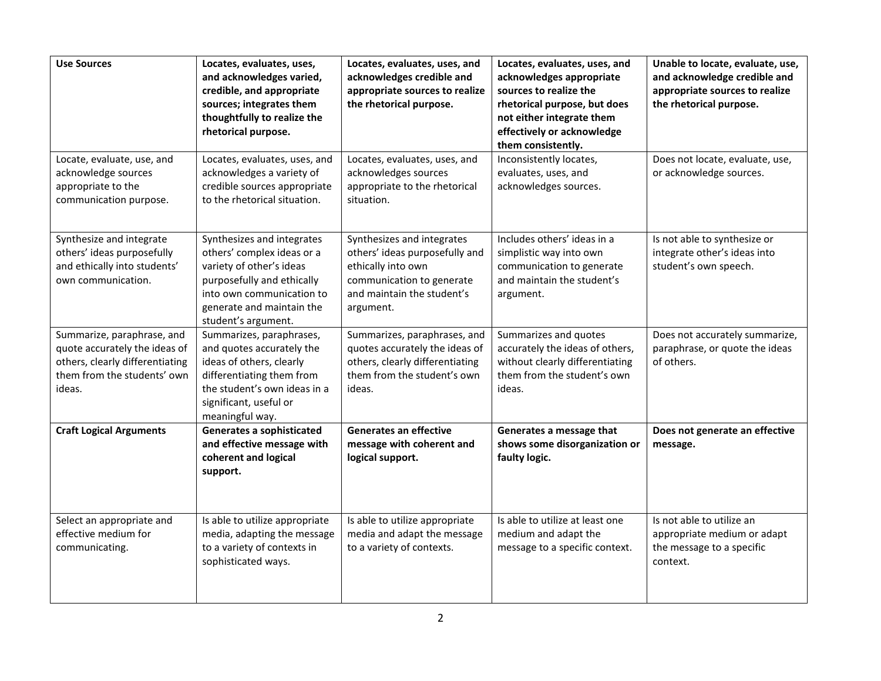| <b>Use Sources</b>                                                                                                                      | Locates, evaluates, uses,<br>and acknowledges varied,<br>credible, and appropriate<br>sources; integrates them<br>thoughtfully to realize the<br>rhetorical purpose.                                | Locates, evaluates, uses, and<br>acknowledges credible and<br>appropriate sources to realize<br>the rhetorical purpose.                                    | Locates, evaluates, uses, and<br>acknowledges appropriate<br>sources to realize the<br>rhetorical purpose, but does<br>not either integrate them<br>effectively or acknowledge<br>them consistently. | Unable to locate, evaluate, use,<br>and acknowledge credible and<br>appropriate sources to realize<br>the rhetorical purpose. |
|-----------------------------------------------------------------------------------------------------------------------------------------|-----------------------------------------------------------------------------------------------------------------------------------------------------------------------------------------------------|------------------------------------------------------------------------------------------------------------------------------------------------------------|------------------------------------------------------------------------------------------------------------------------------------------------------------------------------------------------------|-------------------------------------------------------------------------------------------------------------------------------|
| Locate, evaluate, use, and<br>acknowledge sources<br>appropriate to the<br>communication purpose.                                       | Locates, evaluates, uses, and<br>acknowledges a variety of<br>credible sources appropriate<br>to the rhetorical situation.                                                                          | Locates, evaluates, uses, and<br>acknowledges sources<br>appropriate to the rhetorical<br>situation.                                                       | Inconsistently locates,<br>evaluates, uses, and<br>acknowledges sources.                                                                                                                             | Does not locate, evaluate, use,<br>or acknowledge sources.                                                                    |
| Synthesize and integrate<br>others' ideas purposefully<br>and ethically into students'<br>own communication.                            | Synthesizes and integrates<br>others' complex ideas or a<br>variety of other's ideas<br>purposefully and ethically<br>into own communication to<br>generate and maintain the<br>student's argument. | Synthesizes and integrates<br>others' ideas purposefully and<br>ethically into own<br>communication to generate<br>and maintain the student's<br>argument. | Includes others' ideas in a<br>simplistic way into own<br>communication to generate<br>and maintain the student's<br>argument.                                                                       | Is not able to synthesize or<br>integrate other's ideas into<br>student's own speech.                                         |
| Summarize, paraphrase, and<br>quote accurately the ideas of<br>others, clearly differentiating<br>them from the students' own<br>ideas. | Summarizes, paraphrases,<br>and quotes accurately the<br>ideas of others, clearly<br>differentiating them from<br>the student's own ideas in a<br>significant, useful or<br>meaningful way.         | Summarizes, paraphrases, and<br>quotes accurately the ideas of<br>others, clearly differentiating<br>them from the student's own<br>ideas.                 | Summarizes and quotes<br>accurately the ideas of others,<br>without clearly differentiating<br>them from the student's own<br>ideas.                                                                 | Does not accurately summarize,<br>paraphrase, or quote the ideas<br>of others.                                                |
| <b>Craft Logical Arguments</b>                                                                                                          | <b>Generates a sophisticated</b><br>and effective message with<br>coherent and logical<br>support.                                                                                                  | <b>Generates an effective</b><br>message with coherent and<br>logical support.                                                                             | Generates a message that<br>shows some disorganization or<br>faulty logic.                                                                                                                           | Does not generate an effective<br>message.                                                                                    |
| Select an appropriate and<br>effective medium for<br>communicating.                                                                     | Is able to utilize appropriate<br>media, adapting the message<br>to a variety of contexts in<br>sophisticated ways.                                                                                 | Is able to utilize appropriate<br>media and adapt the message<br>to a variety of contexts.                                                                 | Is able to utilize at least one<br>medium and adapt the<br>message to a specific context.                                                                                                            | Is not able to utilize an<br>appropriate medium or adapt<br>the message to a specific<br>context.                             |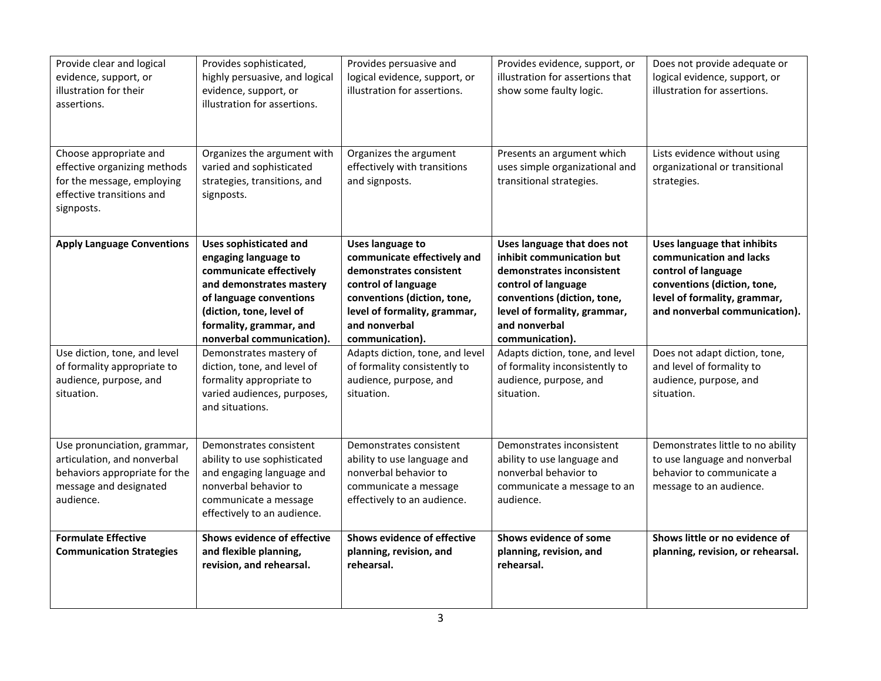| Provide clear and logical<br>evidence, support, or<br>illustration for their<br>assertions.                                        | Provides sophisticated,<br>highly persuasive, and logical<br>evidence, support, or<br>illustration for assertions.                                                                                                          | Provides persuasive and<br>logical evidence, support, or<br>illustration for assertions.                                                                                                                    | Provides evidence, support, or<br>illustration for assertions that<br>show some faulty logic.                                                                                                                   | Does not provide adequate or<br>logical evidence, support, or<br>illustration for assertions.                                                                                        |
|------------------------------------------------------------------------------------------------------------------------------------|-----------------------------------------------------------------------------------------------------------------------------------------------------------------------------------------------------------------------------|-------------------------------------------------------------------------------------------------------------------------------------------------------------------------------------------------------------|-----------------------------------------------------------------------------------------------------------------------------------------------------------------------------------------------------------------|--------------------------------------------------------------------------------------------------------------------------------------------------------------------------------------|
| Choose appropriate and<br>effective organizing methods<br>for the message, employing<br>effective transitions and<br>signposts.    | Organizes the argument with<br>varied and sophisticated<br>strategies, transitions, and<br>signposts.                                                                                                                       | Organizes the argument<br>effectively with transitions<br>and signposts.                                                                                                                                    | Presents an argument which<br>uses simple organizational and<br>transitional strategies.                                                                                                                        | Lists evidence without using<br>organizational or transitional<br>strategies.                                                                                                        |
| <b>Apply Language Conventions</b>                                                                                                  | <b>Uses sophisticated and</b><br>engaging language to<br>communicate effectively<br>and demonstrates mastery<br>of language conventions<br>(diction, tone, level of<br>formality, grammar, and<br>nonverbal communication). | <b>Uses language to</b><br>communicate effectively and<br>demonstrates consistent<br>control of language<br>conventions (diction, tone,<br>level of formality, grammar,<br>and nonverbal<br>communication). | Uses language that does not<br>inhibit communication but<br>demonstrates inconsistent<br>control of language<br>conventions (diction, tone,<br>level of formality, grammar,<br>and nonverbal<br>communication). | <b>Uses language that inhibits</b><br>communication and lacks<br>control of language<br>conventions (diction, tone,<br>level of formality, grammar,<br>and nonverbal communication). |
| Use diction, tone, and level<br>of formality appropriate to<br>audience, purpose, and<br>situation.                                | Demonstrates mastery of<br>diction, tone, and level of<br>formality appropriate to<br>varied audiences, purposes,<br>and situations.                                                                                        | Adapts diction, tone, and level<br>of formality consistently to<br>audience, purpose, and<br>situation.                                                                                                     | Adapts diction, tone, and level<br>of formality inconsistently to<br>audience, purpose, and<br>situation.                                                                                                       | Does not adapt diction, tone,<br>and level of formality to<br>audience, purpose, and<br>situation.                                                                                   |
| Use pronunciation, grammar,<br>articulation, and nonverbal<br>behaviors appropriate for the<br>message and designated<br>audience. | Demonstrates consistent<br>ability to use sophisticated<br>and engaging language and<br>nonverbal behavior to<br>communicate a message<br>effectively to an audience.                                                       | Demonstrates consistent<br>ability to use language and<br>nonverbal behavior to<br>communicate a message<br>effectively to an audience.                                                                     | Demonstrates inconsistent<br>ability to use language and<br>nonverbal behavior to<br>communicate a message to an<br>audience.                                                                                   | Demonstrates little to no ability<br>to use language and nonverbal<br>behavior to communicate a<br>message to an audience.                                                           |
| <b>Formulate Effective</b><br><b>Communication Strategies</b>                                                                      | Shows evidence of effective<br>and flexible planning,<br>revision, and rehearsal.                                                                                                                                           | Shows evidence of effective<br>planning, revision, and<br>rehearsal.                                                                                                                                        | Shows evidence of some<br>planning, revision, and<br>rehearsal.                                                                                                                                                 | Shows little or no evidence of<br>planning, revision, or rehearsal.                                                                                                                  |